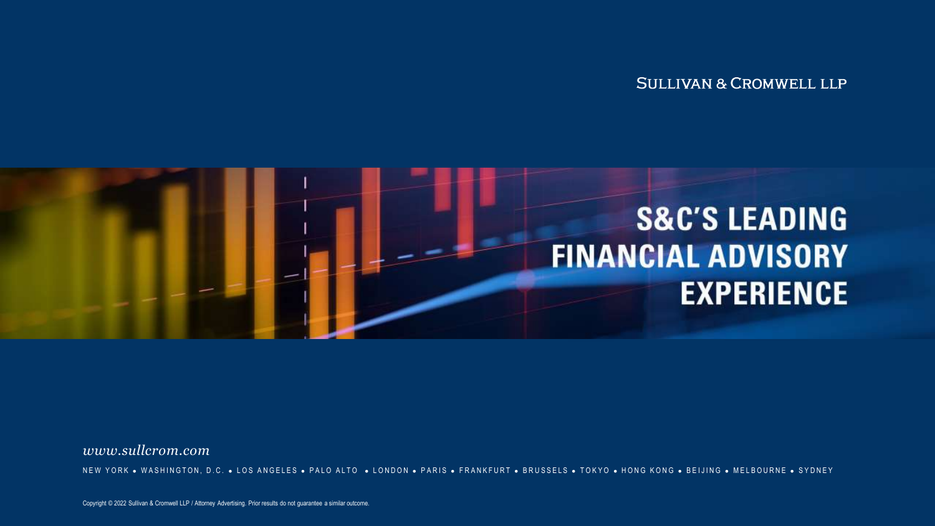**SULLIVAN & CROMWELL LLP** 



*www.sullcrom.com*

NEW YORK . WASHINGTON, D.C. . LOS ANGELES . PALO ALTO . LONDON . PARIS . FRANKFURT . BRUSSELS . TOKYO . HONG KONG . BEIJING . MELBOURNE . SYDNEY

Copyright © 2022 Sullivan & Cromwell LLP / Attorney Advertising. Prior results do not guarantee a similar outcome.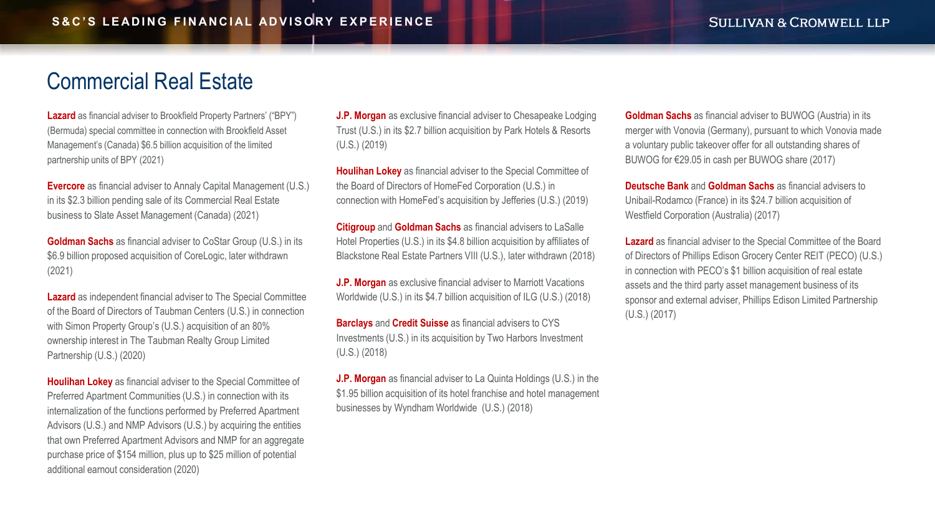### [Commercial Real Estate](#page-2-0)

**Lazard** as financial adviser to Brookfield Property Partners' ("BPY") (Bermuda) special committee in connection with Brookfield Asset Management's (Canada) \$6.5 billion acquisition of the limited partnership units of BPY (2021)

**Evercore** as financial adviser to Annaly Capital Management (U.S.) in its \$2.3 billion pending sale of its Commercial Real Estate business to Slate Asset Management (Canada) (2021)

**Goldman Sachs** as financial adviser to CoStar Group (U.S.) in its \$6.9 billion proposed acquisition of CoreLogic, later withdrawn (2021)

**Lazard** as independent financial adviser to The Special Committee of the Board of Directors of Taubman Centers (U.S.) in connection with Simon Property Group's (U.S.) acquisition of an 80% ownership interest in The Taubman Realty Group Limited Partnership (U.S.) (2020)

**Houlihan Lokey** as financial adviser to the Special Committee of Preferred Apartment Communities (U.S.) in connection with its internalization of the functions performed by Preferred Apartment Advisors (U.S.) and NMP Advisors (U.S.) by acquiring the entities that own Preferred Apartment Advisors and NMP for an aggregate purchase price of \$154 million, plus up to \$25 million of potential additional earnout consideration (2020)

**J.P. Morgan** as exclusive financial adviser to Chesapeake Lodging Trust (U.S.) in its \$2.7 billion acquisition by Park Hotels & Resorts (U.S.) (2019)

**Houlihan Lokey** as financial adviser to the Special Committee of the Board of Directors of HomeFed Corporation (U.S.) in connection with HomeFed's acquisition by Jefferies (U.S.) (2019)

**Citigroup** and **Goldman Sachs** as financial advisers to LaSalle Hotel Properties (U.S.) in its \$4.8 billion acquisition by affiliates of Blackstone Real Estate Partners VIII (U.S.), later withdrawn (2018)

**J.P. Morgan** as exclusive financial adviser to Marriott Vacations Worldwide (U.S.) in its \$4.7 billion acquisition of ILG (U.S.) (2018)

**Barclays** and **Credit Suisse** as financial advisers to CYS Investments (U.S.) in its acquisition by Two Harbors Investment (U.S.) (2018)

**J.P. Morgan** as financial adviser to La Quinta Holdings (U.S.) in the \$1.95 billion acquisition of its hotel franchise and hotel management businesses by Wyndham Worldwide (U.S.) (2018)

**Goldman Sachs** as financial adviser to BUWOG (Austria) in its merger with Vonovia (Germany), pursuant to which Vonovia made a voluntary public takeover offer for all outstanding shares of BUWOG for €29.05 in cash per BUWOG share (2017)

**Deutsche Bank** and **Goldman Sachs** as financial advisers to Unibail-Rodamco (France) in its \$24.7 billion acquisition of Westfield Corporation (Australia) (2017)

**Lazard** as financial adviser to the Special Committee of the Board of Directors of Phillips Edison Grocery Center REIT (PECO) (U.S.) in connection with PECO's \$1 billion acquisition of real estate assets and the third party asset management business of its sponsor and external adviser, Phillips Edison Limited Partnership (U.S.) (2017)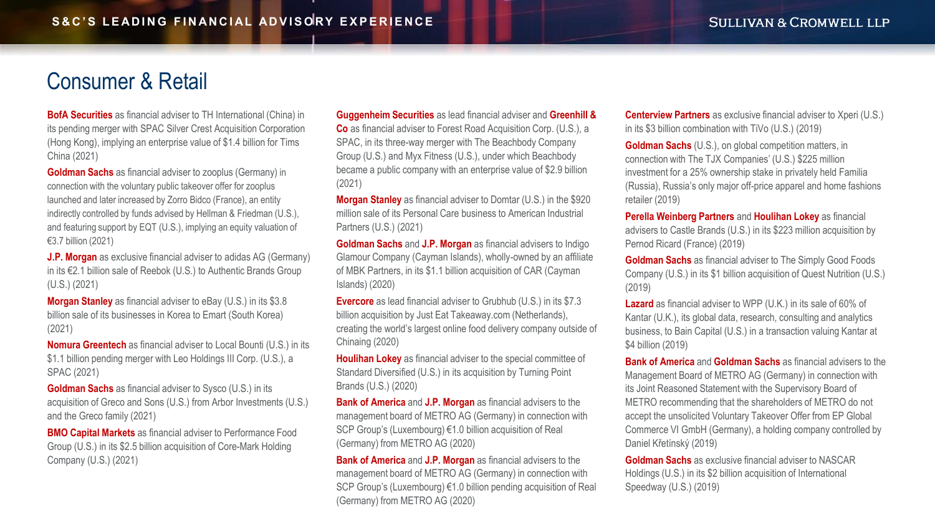## <span id="page-2-0"></span>Consumer & Retail

**BofA Securities** as financial adviser to TH International (China) in its pending merger with SPAC Silver Crest Acquisition Corporation (Hong Kong), implying an enterprise value of \$1.4 billion for Tims China (2021)

**Goldman Sachs** as financial adviser to zooplus (Germany) in connection with the voluntary public takeover offer for zooplus launched and later increased by Zorro Bidco (France), an entity indirectly controlled by funds advised by Hellman & Friedman (U.S.), and featuring support by EQT (U.S.), implying an equity valuation of €3.7 billion (2021)

**J.P. Morgan** as exclusive financial adviser to adidas AG (Germany) in its €2.1 billion sale of Reebok (U.S.) to Authentic Brands Group (U.S.) (2021)

**Morgan Stanley** as financial adviser to eBay (U.S.) in its \$3.8 billion sale of its businesses in Korea to Emart (South Korea) (2021)

**Nomura Greentech** as financial adviser to Local Bounti (U.S.) in its \$1.1 billion pending merger with Leo Holdings III Corp. (U.S.), a SPAC (2021)

**Goldman Sachs** as financial adviser to Sysco (U.S.) in its acquisition of Greco and Sons (U.S.) from Arbor Investments (U.S.) and the Greco family (2021)

**BMO Capital Markets** as financial adviser to Performance Food Group (U.S.) in its \$2.5 billion acquisition of Core-Mark Holding Company (U.S.) (2021)

**Guggenheim Securities** as lead financial adviser and **Greenhill & Co** as financial adviser to Forest Road Acquisition Corp. (U.S.), a SPAC, in its three-way merger with The Beachbody Company Group (U.S.) and Myx Fitness (U.S.), under which Beachbody became a public company with an enterprise value of \$2.9 billion (2021)

**Morgan Stanley** as financial adviser to Domtar (U.S.) in the \$920 million sale of its Personal Care business to American Industrial Partners (U.S.) (2021)

**Goldman Sachs** and **J.P. Morgan** as financial advisers to Indigo Glamour Company (Cayman Islands), wholly-owned by an affiliate of MBK Partners, in its \$1.1 billion acquisition of CAR (Cayman Islands) (2020)

**Evercore** as lead financial adviser to Grubhub (U.S.) in its \$7.3 billion acquisition by Just Eat Takeaway.com (Netherlands), creating the world's largest online food delivery company outside of Chinaing (2020)

**Houlihan Lokey** as financial adviser to the special committee of Standard Diversified (U.S.) in its acquisition by Turning Point Brands (U.S.) (2020)

**Bank of America** and **J.P. Morgan** as financial advisers to the management board of METRO AG (Germany) in connection with SCP Group's (Luxembourg) €1.0 billion acquisition of Real (Germany) from METRO AG (2020)

**Bank of America** and **J.P. Morgan** as financial advisers to the management board of METRO AG (Germany) in connection with SCP Group's (Luxembourg) €1.0 billion pending acquisition of Real (Germany) from METRO AG (2020)

**Centerview Partners** as exclusive financial adviser to Xperi (U.S.) in its \$3 billion combination with TiVo (U.S.) (2019)

**Goldman Sachs** (U.S.), on global competition matters, in connection with The TJX Companies' (U.S.) \$225 million investment for a 25% ownership stake in privately held Familia (Russia), Russia's only major off-price apparel and home fashions retailer (2019)

**Perella Weinberg Partners** and **Houlihan Lokey** as financial advisers to Castle Brands (U.S.) in its \$223 million acquisition by Pernod Ricard (France) (2019)

**Goldman Sachs** as financial adviser to The Simply Good Foods Company (U.S.) in its \$1 billion acquisition of Quest Nutrition (U.S.) (2019)

**Lazard** as financial adviser to WPP (U.K.) in its sale of 60% of Kantar (U.K.), its global data, research, consulting and analytics business, to Bain Capital (U.S.) in a transaction valuing Kantar at \$4 billion (2019)

**Bank of America** and **Goldman Sachs** as financial advisers to the Management Board of METRO AG (Germany) in connection with its Joint Reasoned Statement with the Supervisory Board of METRO recommending that the shareholders of METRO do not accept the unsolicited Voluntary Takeover Offer from EP Global Commerce VI GmbH (Germany), a holding company controlled by Daniel Křetínský (2019)

**Goldman Sachs** as exclusive financial adviser to NASCAR Holdings (U.S.) in its \$2 billion acquisition of International Speedway (U.S.) (2019)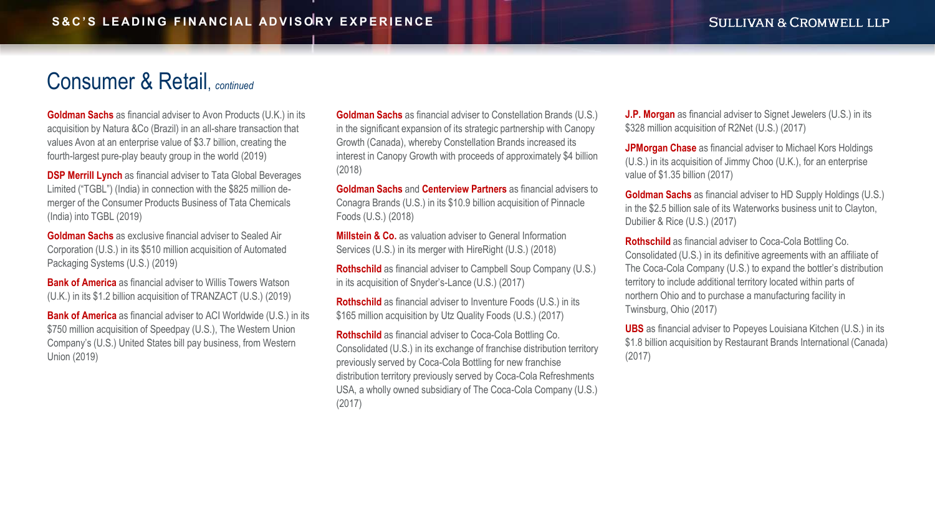#### <span id="page-3-0"></span>Consumer & Retail, *continued*

**Goldman Sachs** as financial adviser to Avon Products (U.K.) in its acquisition by Natura &Co (Brazil) in an all-share transaction that values Avon at an enterprise value of \$3.7 billion, creating the fourth-largest pure-play beauty group in the world (2019)

**DSP Merrill Lynch** as financial adviser to Tata Global Beverages Limited ("TGBL") (India) in connection with the \$825 million demerger of the Consumer Products Business of Tata Chemicals (India) into TGBL (2019)

**Goldman Sachs** as exclusive financial adviser to Sealed Air Corporation (U.S.) in its \$510 million acquisition of Automated Packaging Systems (U.S.) (2019)

**Bank of America** as financial adviser to Willis Towers Watson (U.K.) in its \$1.2 billion acquisition of TRANZACT (U.S.) (2019)

**Bank of America** as financial adviser to ACI Worldwide (U.S.) in its \$750 million acquisition of Speedpay (U.S.), The Western Union Company's (U.S.) United States bill pay business, from Western Union (2019)

**Goldman Sachs** as financial adviser to Constellation Brands (U.S.) in the significant expansion of its strategic partnership with Canopy Growth (Canada), whereby Constellation Brands increased its interest in Canopy Growth with proceeds of approximately \$4 billion (2018)

**Goldman Sachs** and **Centerview Partners** as financial advisers to Conagra Brands (U.S.) in its \$10.9 billion acquisition of Pinnacle Foods (U.S.) (2018)

**Millstein & Co.** as valuation adviser to General Information Services (U.S.) in its merger with HireRight (U.S.) (2018)

**Rothschild** as financial adviser to Campbell Soup Company (U.S.) in its acquisition of Snyder's-Lance (U.S.) (2017)

**Rothschild** as financial adviser to Inventure Foods (U.S.) in its \$165 million acquisition by Utz Quality Foods (U.S.) (2017)

**Rothschild** as financial adviser to Coca-Cola Bottling Co. Consolidated (U.S.) in its exchange of franchise distribution territory previously served by Coca-Cola Bottling for new franchise distribution territory previously served by Coca-Cola Refreshments USA, a wholly owned subsidiary of The Coca-Cola Company (U.S.) (2017)

**J.P. Morgan** as financial adviser to Signet Jewelers (U.S.) in its \$328 million acquisition of R2Net (U.S.) (2017)

**JPMorgan Chase** as financial adviser to Michael Kors Holdings (U.S.) in its acquisition of Jimmy Choo (U.K.), for an enterprise value of \$1.35 billion (2017)

**Goldman Sachs** as financial adviser to HD Supply Holdings (U.S.) in the \$2.5 billion sale of its Waterworks business unit to Clayton, Dubilier & Rice (U.S.) (2017)

**Rothschild** as financial adviser to Coca-Cola Bottling Co. Consolidated (U.S.) in its definitive agreements with an affiliate of The Coca-Cola Company (U.S.) to expand the bottler's distribution territory to include additional territory located within parts of northern Ohio and to purchase a manufacturing facility in Twinsburg, Ohio (2017)

**UBS** as financial adviser to Popeyes Louisiana Kitchen (U.S.) in its \$1.8 billion acquisition by Restaurant Brands International (Canada) (2017)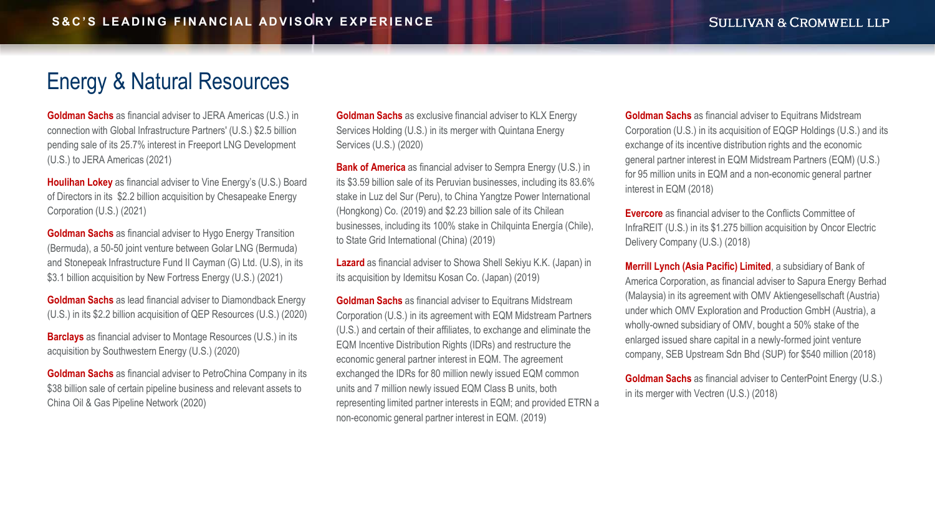# <span id="page-4-0"></span>[Energy & Natural Resources](#page-5-0)

**Goldman Sachs** as financial adviser to JERA Americas (U.S.) in connection with Global Infrastructure Partners' (U.S.) \$2.5 billion pending sale of its 25.7% interest in Freeport LNG Development (U.S.) to JERA Americas (2021)

**Houlihan Lokey** as financial adviser to Vine Energy's (U.S.) Board of Directors in its \$2.2 billion acquisition by Chesapeake Energy Corporation (U.S.) (2021)

**Goldman Sachs** as financial adviser to Hygo Energy Transition (Bermuda), a 50-50 joint venture between Golar LNG (Bermuda) and Stonepeak Infrastructure Fund II Cayman (G) Ltd. (U.S), in its \$3.1 billion acquisition by New Fortress Energy (U.S.) (2021)

**Goldman Sachs** as lead financial adviser to Diamondback Energy (U.S.) in its \$2.2 billion acquisition of QEP Resources (U.S.) (2020)

**Barclays** as financial adviser to Montage Resources (U.S.) in its acquisition by Southwestern Energy (U.S.) (2020)

**Goldman Sachs** as financial adviser to PetroChina Company in its \$38 billion sale of certain pipeline business and relevant assets to China Oil & Gas Pipeline Network (2020)

**Goldman Sachs** as exclusive financial adviser to KLX Energy Services Holding (U.S.) in its merger with Quintana Energy Services (U.S.) (2020)

**Bank of America** as financial adviser to Sempra Energy (U.S.) in its \$3.59 billion sale of its Peruvian businesses, including its 83.6% stake in Luz del Sur (Peru), to China Yangtze Power International (Hongkong) Co. (2019) and \$2.23 billion sale of its Chilean businesses, including its 100% stake in Chilquinta Energía (Chile), to State Grid International (China) (2019)

**Lazard** as financial adviser to Showa Shell Sekiyu K.K. (Japan) in its acquisition by Idemitsu Kosan Co. (Japan) (2019)

**Goldman Sachs** as financial adviser to Equitrans Midstream Corporation (U.S.) in its agreement with EQM Midstream Partners (U.S.) and certain of their affiliates, to exchange and eliminate the EQM Incentive Distribution Rights (IDRs) and restructure the economic general partner interest in EQM. The agreement exchanged the IDRs for 80 million newly issued EQM common units and 7 million newly issued EQM Class B units, both representing limited partner interests in EQM; and provided ETRN a non-economic general partner interest in EQM. (2019)

**Goldman Sachs** as financial adviser to Equitrans Midstream Corporation (U.S.) in its acquisition of EQGP Holdings (U.S.) and its exchange of its incentive distribution rights and the economic general partner interest in EQM Midstream Partners (EQM) (U.S.) for 95 million units in EQM and a non-economic general partner interest in EQM (2018)

**Evercore** as financial adviser to the Conflicts Committee of InfraREIT (U.S.) in its \$1.275 billion acquisition by Oncor Electric Delivery Company (U.S.) (2018)

**Merrill Lynch (Asia Pacific) Limited**, a subsidiary of Bank of America Corporation, as financial adviser to Sapura Energy Berhad (Malaysia) in its agreement with OMV Aktiengesellschaft (Austria) under which OMV Exploration and Production GmbH (Austria), a wholly-owned subsidiary of OMV, bought a 50% stake of the enlarged issued share capital in a newly-formed joint venture company, SEB Upstream Sdn Bhd (SUP) for \$540 million (2018)

**Goldman Sachs** as financial adviser to CenterPoint Energy (U.S.) in its merger with Vectren (U.S.) (2018)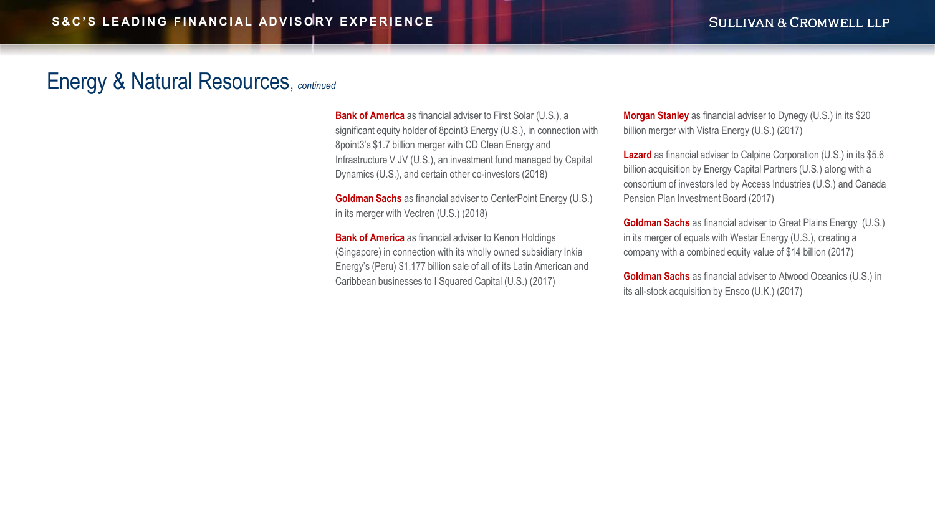#### <span id="page-5-0"></span>[Energy & Natural Resources](#page-6-0), *continued*

**Bank of America** as financial adviser to First Solar (U.S.), a significant equity holder of 8point3 Energy (U.S.), in connection with 8point3's \$1.7 billion merger with CD Clean Energy and Infrastructure V JV (U.S.), an investment fund managed by Capital Dynamics (U.S.), and certain other co-investors (2018)

**Goldman Sachs** as financial adviser to CenterPoint Energy (U.S.) in its merger with Vectren (U.S.) (2018)

**Bank of America** as financial adviser to Kenon Holdings (Singapore) in connection with its wholly owned subsidiary Inkia Energy's (Peru) \$1.177 billion sale of all of its Latin American and Caribbean businesses to I Squared Capital (U.S.) (2017)

**Morgan Stanley** as financial adviser to Dynegy (U.S.) in its \$20 billion merger with Vistra Energy (U.S.) (2017)

**Lazard** as financial adviser to Calpine Corporation (U.S.) in its \$5.6 billion acquisition by Energy Capital Partners (U.S.) along with a consortium of investors led by Access Industries (U.S.) and Canada Pension Plan Investment Board (2017)

**Goldman Sachs** as financial adviser to Great Plains Energy (U.S.) in its merger of equals with Westar Energy (U.S.), creating a company with a combined equity value of \$14 billion (2017)

**Goldman Sachs** as financial adviser to Atwood Oceanics (U.S.) in its all-stock acquisition by Ensco (U.K.) (2017)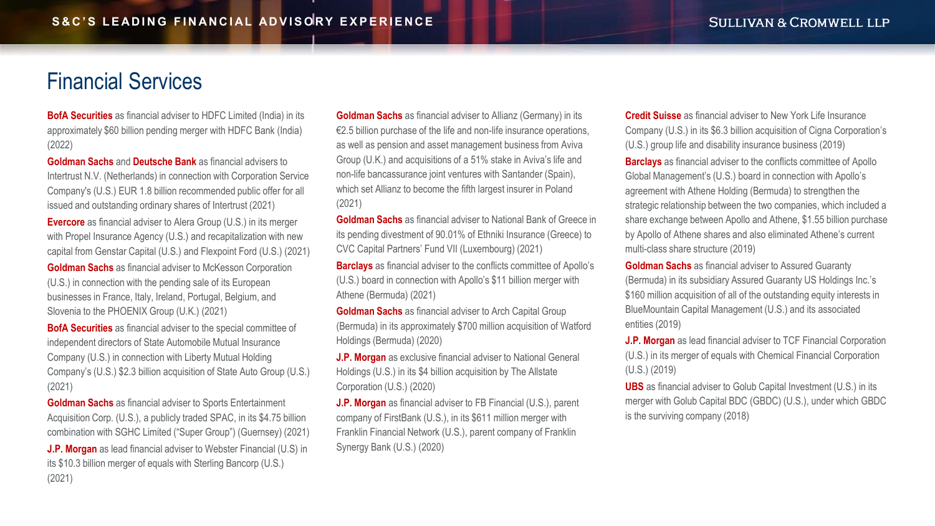## <span id="page-6-0"></span>Financial Services

**BofA Securities** as financial adviser to HDFC Limited (India) in its approximately \$60 billion pending merger with HDFC Bank (India) (2022)

**Goldman Sachs** and **Deutsche Bank** as financial advisers to Intertrust N.V. (Netherlands) in connection with Corporation Service Company's (U.S.) EUR 1.8 billion recommended public offer for all issued and outstanding ordinary shares of Intertrust (2021)

**Evercore** as financial adviser to Alera Group (U.S.) in its merger with Propel Insurance Agency (U.S.) and recapitalization with new capital from Genstar Capital (U.S.) and Flexpoint Ford (U.S.) (2021)

**Goldman Sachs** as financial adviser to McKesson Corporation (U.S.) in connection with the pending sale of its European businesses in France, Italy, Ireland, Portugal, Belgium, and Slovenia to the PHOENIX Group (U.K.) (2021)

**BofA Securities** as financial adviser to the special committee of independent directors of State Automobile Mutual Insurance Company (U.S.) in connection with Liberty Mutual Holding Company's (U.S.) \$2.3 billion acquisition of State Auto Group (U.S.) (2021)

**Goldman Sachs** as financial adviser to Sports Entertainment Acquisition Corp. (U.S.), a publicly traded SPAC, in its \$4.75 billion combination with SGHC Limited ("Super Group") (Guernsey) (2021) **J.P. Morgan** as lead financial adviser to Webster Financial (U.S) in its \$10.3 billion merger of equals with Sterling Bancorp (U.S.) (2021)

**Goldman Sachs** as financial adviser to Allianz (Germany) in its €2.5 billion purchase of the life and non-life insurance operations, as well as pension and asset management business from Aviva Group (U.K.) and acquisitions of a 51% stake in Aviva's life and non-life bancassurance joint ventures with Santander (Spain), which set Allianz to become the fifth largest insurer in Poland (2021)

**Goldman Sachs** as financial adviser to National Bank of Greece in its pending divestment of 90.01% of Ethniki Insurance (Greece) to CVC Capital Partners' Fund VII (Luxembourg) (2021)

**Barclays** as financial adviser to the conflicts committee of Apollo's (U.S.) board in connection with Apollo's \$11 billion merger with Athene (Bermuda) (2021)

**Goldman Sachs** as financial adviser to Arch Capital Group (Bermuda) in its approximately \$700 million acquisition of Watford Holdings (Bermuda) (2020)

**J.P. Morgan** as exclusive financial adviser to National General Holdings (U.S.) in its \$4 billion acquisition by The Allstate Corporation (U.S.) (2020)

**J.P. Morgan** as financial adviser to FB Financial (U.S.), parent company of FirstBank (U.S.), in its \$611 million merger with Franklin Financial Network (U.S.), parent company of Franklin Synergy Bank (U.S.) (2020)

**Credit Suisse** as financial adviser to New York Life Insurance Company (U.S.) in its \$6.3 billion acquisition of Cigna Corporation's (U.S.) group life and disability insurance business (2019) **Barclays** as financial adviser to the conflicts committee of Apollo Global Management's (U.S.) board in connection with Apollo's agreement with Athene Holding (Bermuda) to strengthen the strategic relationship between the two companies, which included a share exchange between Apollo and Athene, \$1.55 billion purchase by Apollo of Athene shares and also eliminated Athene's current multi-class share structure (2019)

**Goldman Sachs** as financial adviser to Assured Guaranty (Bermuda) in its subsidiary Assured Guaranty US Holdings Inc.'s \$160 million acquisition of all of the outstanding equity interests in BlueMountain Capital Management (U.S.) and its associated entities (2019)

**J.P. Morgan** as lead financial adviser to TCF Financial Corporation (U.S.) in its merger of equals with Chemical Financial Corporation (U.S.) (2019)

**UBS** as financial adviser to Golub Capital Investment (U.S.) in its merger with Golub Capital BDC (GBDC) (U.S.), under which GBDC is the surviving company (2018)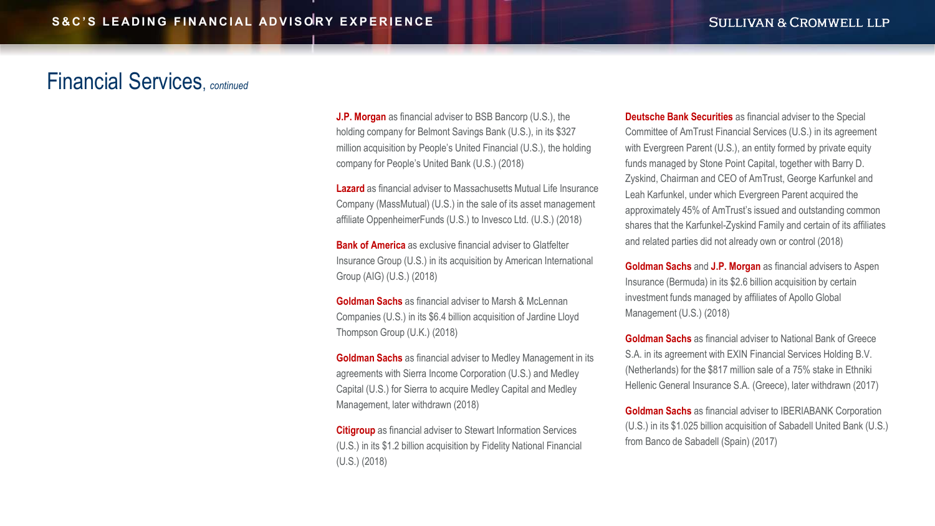#### <span id="page-7-0"></span>Financial Services, *continued*

**J.P. Morgan** as financial adviser to BSB Bancorp (U.S.), the holding company for Belmont Savings Bank (U.S.), in its \$327 million acquisition by People's United Financial (U.S.), the holding company for People's United Bank (U.S.) (2018)

**Lazard** as financial adviser to Massachusetts Mutual Life Insurance Company (MassMutual) (U.S.) in the sale of its asset management affiliate OppenheimerFunds (U.S.) to Invesco Ltd. (U.S.) (2018)

**Bank of America** as exclusive financial adviser to Glatfelter Insurance Group (U.S.) in its acquisition by American International Group (AIG) (U.S.) (2018)

**Goldman Sachs** as financial adviser to Marsh & McLennan Companies (U.S.) in its \$6.4 billion acquisition of Jardine Lloyd Thompson Group (U.K.) (2018)

**Goldman Sachs** as financial adviser to Medley Management in its agreements with Sierra Income Corporation (U.S.) and Medley Capital (U.S.) for Sierra to acquire Medley Capital and Medley Management, later withdrawn (2018)

**Citigroup** as financial adviser to Stewart Information Services (U.S.) in its \$1.2 billion acquisition by Fidelity National Financial (U.S.) (2018)

**Deutsche Bank Securities** as financial adviser to the Special Committee of AmTrust Financial Services (U.S.) in its agreement with Evergreen Parent (U.S.), an entity formed by private equity funds managed by Stone Point Capital, together with Barry D. Zyskind, Chairman and CEO of AmTrust, George Karfunkel and Leah Karfunkel, under which Evergreen Parent acquired the approximately 45% of AmTrust's issued and outstanding common shares that the Karfunkel-Zyskind Family and certain of its affiliates and related parties did not already own or control (2018)

**Goldman Sachs** and **J.P. Morgan** as financial advisers to Aspen Insurance (Bermuda) in its \$2.6 billion acquisition by certain investment funds managed by affiliates of Apollo Global Management (U.S.) (2018)

**Goldman Sachs** as financial adviser to National Bank of Greece S.A. in its agreement with EXIN Financial Services Holding B.V. (Netherlands) for the \$817 million sale of a 75% stake in Ethniki Hellenic General Insurance S.A. (Greece), later withdrawn (2017)

**Goldman Sachs** as financial adviser to IBERIABANK Corporation (U.S.) in its \$1.025 billion acquisition of Sabadell United Bank (U.S.) from Banco de Sabadell (Spain) (2017)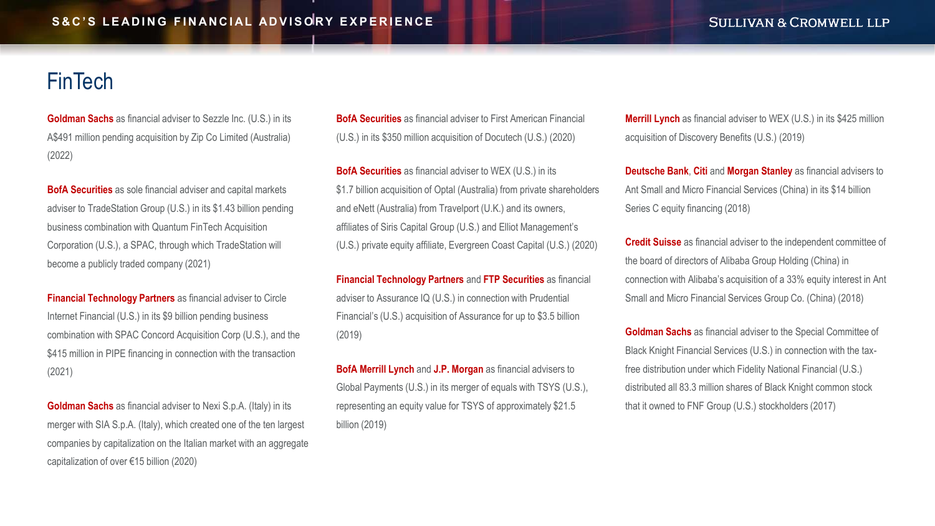# <span id="page-8-0"></span>**FinTech**

**Goldman Sachs** as financial adviser to Sezzle Inc. (U.S.) in its A\$491 million pending acquisition by Zip Co Limited (Australia) (2022)

**BofA Securities** as sole financial adviser and capital markets adviser to TradeStation Group (U.S.) in its \$1.43 billion pending business combination with Quantum FinTech Acquisition Corporation (U.S.), a SPAC, through which TradeStation will become a publicly traded company (2021)

**Financial Technology Partners** as financial adviser to Circle Internet Financial (U.S.) in its \$9 billion pending business combination with SPAC Concord Acquisition Corp (U.S.), and the \$415 million in PIPE financing in connection with the transaction (2021)

**Goldman Sachs** as financial adviser to Nexi S.p.A. (Italy) in its merger with SIA S.p.A. (Italy), which created one of the ten largest companies by capitalization on the Italian market with an aggregate capitalization of over €15 billion (2020)

**BofA Securities** as financial adviser to First American Financial (U.S.) in its \$350 million acquisition of Docutech (U.S.) (2020)

**BofA Securities** as financial adviser to WEX (U.S.) in its \$1.7 billion acquisition of Optal (Australia) from private shareholders and eNett (Australia) from Travelport (U.K.) and its owners, affiliates of Siris Capital Group (U.S.) and Elliot Management's (U.S.) private equity affiliate, Evergreen Coast Capital (U.S.) (2020)

**Financial Technology Partners** and **FTP Securities** as financial adviser to Assurance IQ (U.S.) in connection with Prudential Financial's (U.S.) acquisition of Assurance for up to \$3.5 billion (2019)

**BofA Merrill Lynch** and **J.P. Morgan** as financial advisers to Global Payments (U.S.) in its merger of equals with TSYS (U.S.), representing an equity value for TSYS of approximately \$21.5 billion (2019)

**Merrill Lynch** as financial adviser to WEX (U.S.) in its \$425 million acquisition of Discovery Benefits (U.S.) (2019)

**Deutsche Bank**, **Citi** and **Morgan Stanley** as financial advisers to Ant Small and Micro Financial Services (China) in its \$14 billion Series C equity financing (2018)

**Credit Suisse** as financial adviser to the independent committee of the board of directors of Alibaba Group Holding (China) in connection with Alibaba's acquisition of a 33% equity interest in Ant Small and Micro Financial Services Group Co. (China) (2018)

**Goldman Sachs** as financial adviser to the Special Committee of Black Knight Financial Services (U.S.) in connection with the taxfree distribution under which Fidelity National Financial (U.S.) distributed all 83.3 million shares of Black Knight common stock that it owned to FNF Group (U.S.) stockholders (2017)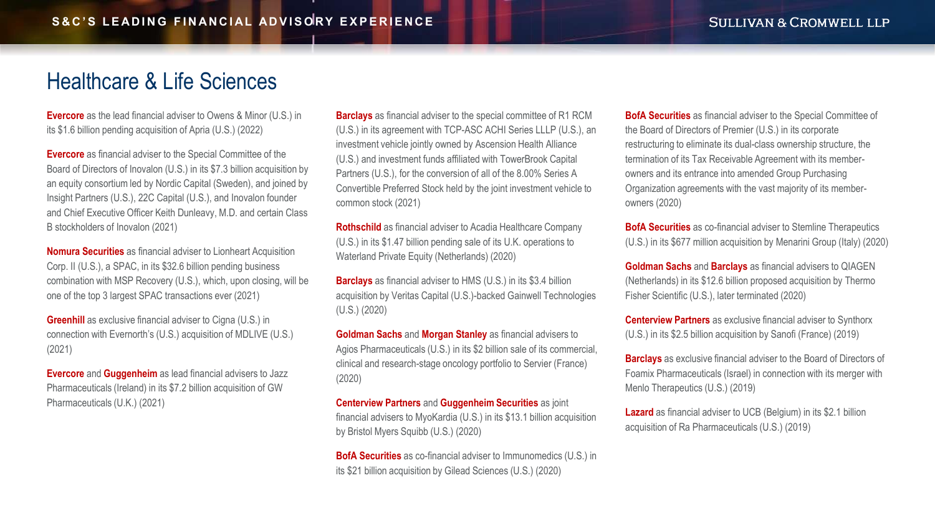#### <span id="page-9-0"></span>[Healthcare & Life Sciences](#page-10-0)

**Evercore** as the lead financial adviser to Owens & Minor (U.S.) in its \$1.6 billion pending acquisition of Apria (U.S.) (2022)

**Evercore** as financial adviser to the Special Committee of the Board of Directors of Inovalon (U.S.) in its \$7.3 billion acquisition by an equity consortium led by Nordic Capital (Sweden), and joined by Insight Partners (U.S.), 22C Capital (U.S.), and Inovalon founder and Chief Executive Officer Keith Dunleavy, M.D. and certain Class B stockholders of Inovalon (2021)

**Nomura Securities** as financial adviser to Lionheart Acquisition Corp. II (U.S.), a SPAC, in its \$32.6 billion pending business combination with MSP Recovery (U.S.), which, upon closing, will be one of the top 3 largest SPAC transactions ever (2021)

**Greenhill** as exclusive financial adviser to Cigna (U.S.) in connection with Evernorth's (U.S.) acquisition of MDLIVE (U.S.) (2021)

**Evercore** and **Guggenheim** as lead financial advisers to Jazz Pharmaceuticals (Ireland) in its \$7.2 billion acquisition of GW Pharmaceuticals (U.K.) (2021)

**Barclays** as financial adviser to the special committee of R1 RCM (U.S.) in its agreement with TCP-ASC ACHI Series LLLP (U.S.), an investment vehicle jointly owned by Ascension Health Alliance (U.S.) and investment funds affiliated with TowerBrook Capital Partners (U.S.), for the conversion of all of the 8.00% Series A Convertible Preferred Stock held by the joint investment vehicle to common stock (2021)

**Rothschild** as financial adviser to Acadia Healthcare Company (U.S.) in its \$1.47 billion pending sale of its U.K. operations to Waterland Private Equity (Netherlands) (2020)

**Barclays** as financial adviser to HMS (U.S.) in its \$3.4 billion acquisition by Veritas Capital (U.S.)-backed Gainwell Technologies (U.S.) (2020)

**Goldman Sachs** and **Morgan Stanley** as financial advisers to Agios Pharmaceuticals (U.S.) in its \$2 billion sale of its commercial, clinical and research-stage oncology portfolio to Servier (France) (2020)

**Centerview Partners** and **Guggenheim Securities** as joint financial advisers to MyoKardia (U.S.) in its \$13.1 billion acquisition by Bristol Myers Squibb (U.S.) (2020)

**BofA Securities** as co-financial adviser to Immunomedics (U.S.) in its \$21 billion acquisition by Gilead Sciences (U.S.) (2020)

**BofA Securities** as financial adviser to the Special Committee of the Board of Directors of Premier (U.S.) in its corporate restructuring to eliminate its dual-class ownership structure, the termination of its Tax Receivable Agreement with its memberowners and its entrance into amended Group Purchasing Organization agreements with the vast majority of its memberowners (2020)

**BofA Securities** as co-financial adviser to Stemline Therapeutics (U.S.) in its \$677 million acquisition by Menarini Group (Italy) (2020)

**Goldman Sachs** and **Barclays** as financial advisers to QIAGEN (Netherlands) in its \$12.6 billion proposed acquisition by Thermo Fisher Scientific (U.S.), later terminated (2020)

**Centerview Partners** as exclusive financial adviser to Synthorx (U.S.) in its \$2.5 billion acquisition by Sanofi (France) (2019)

**Barclays** as exclusive financial adviser to the Board of Directors of Foamix Pharmaceuticals (Israel) in connection with its merger with Menlo Therapeutics (U.S.) (2019)

**Lazard** as financial adviser to UCB (Belgium) in its \$2.1 billion acquisition of Ra Pharmaceuticals (U.S.) (2019)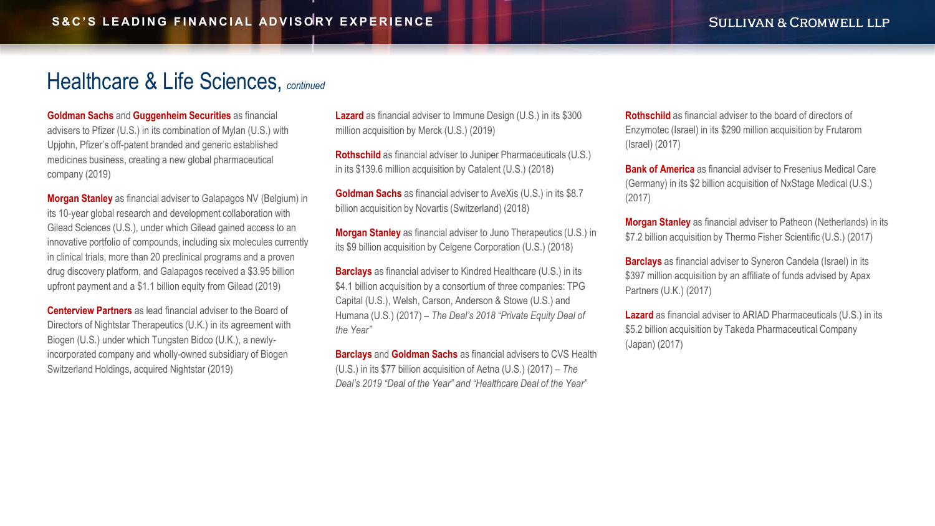#### <span id="page-10-0"></span>[Healthcare & Life Sciences,](#page-11-0) *continued*

**Goldman Sachs** and **Guggenheim Securities** as financial advisers to Pfizer (U.S.) in its combination of Mylan (U.S.) with Upjohn, Pfizer's off-patent branded and generic established medicines business, creating a new global pharmaceutical company (2019)

**Morgan Stanley** as financial adviser to Galapagos NV (Belgium) in its 10-year global research and development collaboration with Gilead Sciences (U.S.), under which Gilead gained access to an innovative portfolio of compounds, including six molecules currently in clinical trials, more than 20 preclinical programs and a proven drug discovery platform, and Galapagos received a \$3.95 billion upfront payment and a \$1.1 billion equity from Gilead (2019)

**Centerview Partners** as lead financial adviser to the Board of Directors of Nightstar Therapeutics (U.K.) in its agreement with Biogen (U.S.) under which Tungsten Bidco (U.K.), a newlyincorporated company and wholly-owned subsidiary of Biogen Switzerland Holdings, acquired Nightstar (2019)

**Lazard** as financial adviser to Immune Design (U.S.) in its \$300 million acquisition by Merck (U.S.) (2019)

**Rothschild** as financial adviser to Juniper Pharmaceuticals (U.S.) in its \$139.6 million acquisition by Catalent (U.S.) (2018)

**Goldman Sachs** as financial adviser to AveXis (U.S.) in its \$8.7 billion acquisition by Novartis (Switzerland) (2018)

**Morgan Stanley** as financial adviser to Juno Therapeutics (U.S.) in its \$9 billion acquisition by Celgene Corporation (U.S.) (2018)

**Barclays** as financial adviser to Kindred Healthcare (U.S.) in its \$4.1 billion acquisition by a consortium of three companies: TPG Capital (U.S.), Welsh, Carson, Anderson & Stowe (U.S.) and Humana (U.S.) (2017) – *The Deal's 2018 "Private Equity Deal of the Year"*

**Barclays** and **Goldman Sachs** as financial advisers to CVS Health (U.S.) in its \$77 billion acquisition of Aetna (U.S.) (2017) – *The Deal's 2019 "Deal of the Year" and "Healthcare Deal of the Year"*

**Rothschild** as financial adviser to the board of directors of Enzymotec (Israel) in its \$290 million acquisition by Frutarom (Israel) (2017)

**Bank of America** as financial adviser to Fresenius Medical Care (Germany) in its \$2 billion acquisition of NxStage Medical (U.S.) (2017)

**Morgan Stanley** as financial adviser to Patheon (Netherlands) in its \$7.2 billion acquisition by Thermo Fisher Scientific (U.S.) (2017)

**Barclays** as financial adviser to Syneron Candela (Israel) in its \$397 million acquisition by an affiliate of funds advised by Apax Partners (U.K.) (2017)

**Lazard** as financial adviser to ARIAD Pharmaceuticals (U.S.) in its \$5.2 billion acquisition by Takeda Pharmaceutical Company (Japan) (2017)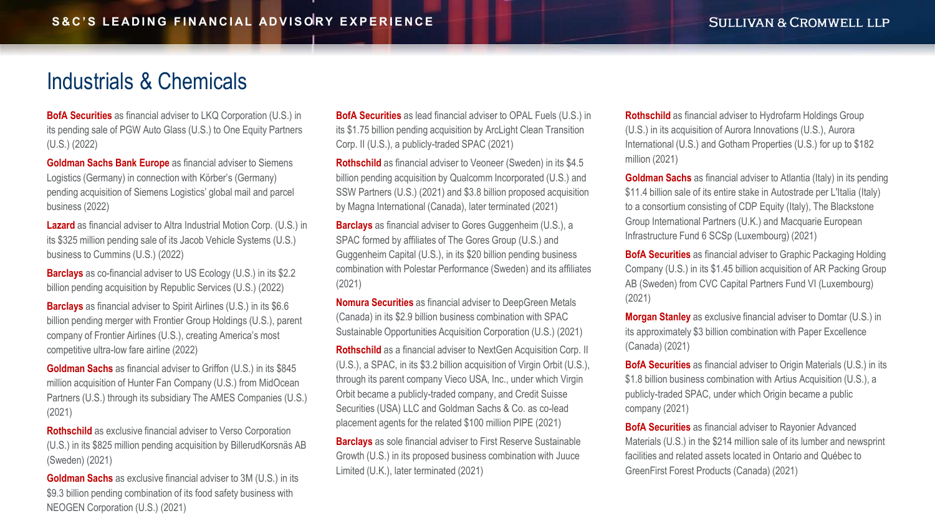#### <span id="page-11-0"></span>[Industrials & Chemicals](#page-12-0)

**BofA Securities** as financial adviser to LKQ Corporation (U.S.) in its pending sale of PGW Auto Glass (U.S.) to One Equity Partners (U.S.) (2022)

**Goldman Sachs Bank Europe** as financial adviser to Siemens Logistics (Germany) in connection with Körber's (Germany) pending acquisition of Siemens Logistics' global mail and parcel business (2022)

**Lazard** as financial adviser to Altra Industrial Motion Corp. (U.S.) in its \$325 million pending sale of its Jacob Vehicle Systems (U.S.) business to Cummins (U.S.) (2022)

**Barclays** as co-financial adviser to US Ecology (U.S.) in its \$2.2 billion pending acquisition by Republic Services (U.S.) (2022)

**Barclays** as financial adviser to Spirit Airlines (U.S.) in its \$6.6 billion pending merger with Frontier Group Holdings (U.S.), parent company of Frontier Airlines (U.S.), creating America's most competitive ultra-low fare airline (2022)

**Goldman Sachs** as financial adviser to Griffon (U.S.) in its \$845 million acquisition of Hunter Fan Company (U.S.) from MidOcean Partners (U.S.) through its subsidiary The AMES Companies (U.S.) (2021)

**Rothschild** as exclusive financial adviser to Verso Corporation (U.S.) in its \$825 million pending acquisition by BillerudKorsnäs AB (Sweden) (2021)

**Goldman Sachs** as exclusive financial adviser to 3M (U.S.) in its \$9.3 billion pending combination of its food safety business with NEOGEN Corporation (U.S.) (2021)

**BofA Securities** as lead financial adviser to OPAL Fuels (U.S.) in its \$1.75 billion pending acquisition by ArcLight Clean Transition Corp. II (U.S.), a publicly-traded SPAC (2021)

**Rothschild** as financial adviser to Veoneer (Sweden) in its \$4.5 billion pending acquisition by Qualcomm Incorporated (U.S.) and SSW Partners (U.S.) (2021) and \$3.8 billion proposed acquisition by Magna International (Canada), later terminated (2021)

**Barclays** as financial adviser to Gores Guggenheim (U.S.), a SPAC formed by affiliates of The Gores Group (U.S.) and Guggenheim Capital (U.S.), in its \$20 billion pending business combination with Polestar Performance (Sweden) and its affiliates (2021)

**Nomura Securities** as financial adviser to DeepGreen Metals (Canada) in its \$2.9 billion business combination with SPAC Sustainable Opportunities Acquisition Corporation (U.S.) (2021)

**Rothschild** as a financial adviser to NextGen Acquisition Corp. II (U.S.), a SPAC, in its \$3.2 billion acquisition of Virgin Orbit (U.S.), through its parent company Vieco USA, Inc., under which Virgin Orbit became a publicly-traded company, and Credit Suisse Securities (USA) LLC and Goldman Sachs & Co. as co-lead placement agents for the related \$100 million PIPE (2021)

**Barclays** as sole financial adviser to First Reserve Sustainable Growth (U.S.) in its proposed business combination with Juuce Limited (U.K.), later terminated (2021)

**Rothschild** as financial adviser to Hydrofarm Holdings Group (U.S.) in its acquisition of Aurora Innovations (U.S.), Aurora International (U.S.) and Gotham Properties (U.S.) for up to \$182 million (2021)

**Goldman Sachs** as financial adviser to Atlantia (Italy) in its pending \$11.4 billion sale of its entire stake in Autostrade per L'Italia (Italy) to a consortium consisting of CDP Equity (Italy), The Blackstone Group International Partners (U.K.) and Macquarie European Infrastructure Fund 6 SCSp (Luxembourg) (2021)

**BofA Securities** as financial adviser to Graphic Packaging Holding Company (U.S.) in its \$1.45 billion acquisition of AR Packing Group AB (Sweden) from CVC Capital Partners Fund VI (Luxembourg) (2021)

**Morgan Stanley** as exclusive financial adviser to Domtar (U.S.) in its approximately \$3 billion combination with Paper Excellence (Canada) (2021)

**BofA Securities** as financial adviser to Origin Materials (U.S.) in its \$1.8 billion business combination with Artius Acquisition (U.S.), a publicly-traded SPAC, under which Origin became a public company (2021)

**BofA Securities** as financial adviser to Rayonier Advanced Materials (U.S.) in the \$214 million sale of its lumber and newsprint facilities and related assets located in Ontario and Québec to GreenFirst Forest Products (Canada) (2021)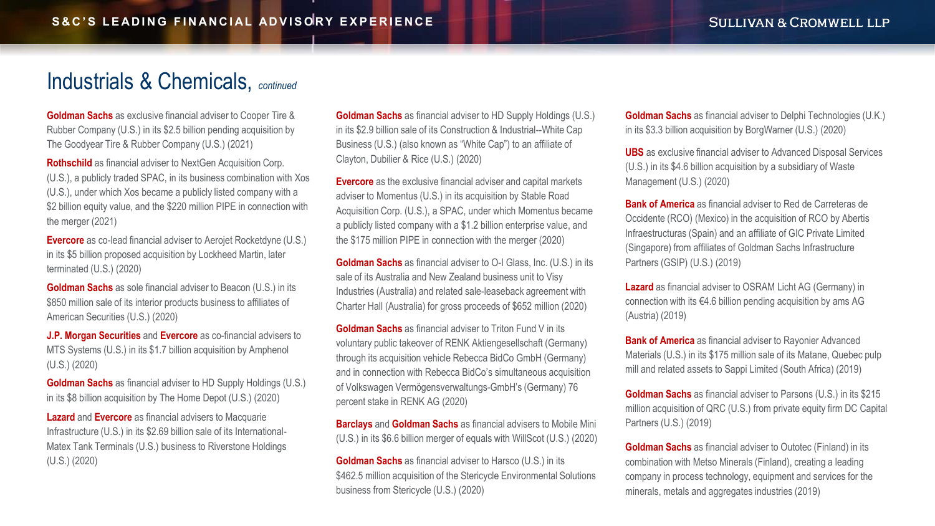#### <span id="page-12-0"></span>[Industrials & Chemicals,](#page-13-0) *continued*

**Goldman Sachs** as exclusive financial adviser to Cooper Tire & Rubber Company (U.S.) in its \$2.5 billion pending acquisition by The Goodyear Tire & Rubber Company (U.S.) (2021)

**Rothschild** as financial adviser to NextGen Acquisition Corp. (U.S.), a publicly traded SPAC, in its business combination with Xos (U.S.), under which Xos became a publicly listed company with a \$2 billion equity value, and the \$220 million PIPE in connection with the merger (2021)

**Evercore** as co-lead financial adviser to Aerojet Rocketdyne (U.S.) in its \$5 billion proposed acquisition by Lockheed Martin, later terminated (U.S.) (2020)

**Goldman Sachs** as sole financial adviser to Beacon (U.S.) in its \$850 million sale of its interior products business to affiliates of American Securities (U.S.) (2020)

**J.P. Morgan Securities** and **Evercore** as co-financial advisers to MTS Systems (U.S.) in its \$1.7 billion acquisition by Amphenol (U.S.) (2020)

**Goldman Sachs** as financial adviser to HD Supply Holdings (U.S.) in its \$8 billion acquisition by The Home Depot (U.S.) (2020)

**Lazard** and **Evercore** as financial advisers to Macquarie Infrastructure (U.S.) in its \$2.69 billion sale of its International-Matex Tank Terminals (U.S.) business to Riverstone Holdings (U.S.) (2020)

**Goldman Sachs** as financial adviser to HD Supply Holdings (U.S.) in its \$2.9 billion sale of its Construction & Industrial--White Cap Business (U.S.) (also known as "White Cap") to an affiliate of Clayton, Dubilier & Rice (U.S.) (2020)

**Evercore** as the exclusive financial adviser and capital markets adviser to Momentus (U.S.) in its acquisition by Stable Road Acquisition Corp. (U.S.), a SPAC, under which Momentus became a publicly listed company with a \$1.2 billion enterprise value, and the \$175 million PIPE in connection with the merger (2020)

**Goldman Sachs** as financial adviser to O-I Glass, Inc. (U.S.) in its sale of its Australia and New Zealand business unit to Visy Industries (Australia) and related sale-leaseback agreement with Charter Hall (Australia) for gross proceeds of \$652 million (2020)

**Goldman Sachs** as financial adviser to Triton Fund V in its voluntary public takeover of RENK Aktiengesellschaft (Germany) through its acquisition vehicle Rebecca BidCo GmbH (Germany) and in connection with Rebecca BidCo's simultaneous acquisition of Volkswagen Vermögensverwaltungs-GmbH's (Germany) 76 percent stake in RENK AG (2020)

**Barclays** and **Goldman Sachs** as financial advisers to Mobile Mini (U.S.) in its \$6.6 billion merger of equals with WillScot (U.S.) (2020)

**Goldman Sachs** as financial adviser to Harsco (U.S.) in its \$462.5 million acquisition of the Stericycle Environmental Solutions business from Stericycle (U.S.) (2020)

**Goldman Sachs** as financial adviser to Delphi Technologies (U.K.) in its \$3.3 billion acquisition by BorgWarner (U.S.) (2020)

**UBS** as exclusive financial adviser to Advanced Disposal Services (U.S.) in its \$4.6 billion acquisition by a subsidiary of Waste Management (U.S.) (2020)

**Bank of America** as financial adviser to Red de Carreteras de Occidente (RCO) (Mexico) in the acquisition of RCO by Abertis Infraestructuras (Spain) and an affiliate of GIC Private Limited (Singapore) from affiliates of Goldman Sachs Infrastructure Partners (GSIP) (U.S.) (2019)

**Lazard** as financial adviser to OSRAM Licht AG (Germany) in connection with its €4.6 billion pending acquisition by ams AG (Austria) (2019)

**Bank of America** as financial adviser to Rayonier Advanced Materials (U.S.) in its \$175 million sale of its Matane, Quebec pulp mill and related assets to Sappi Limited (South Africa) (2019)

**Goldman Sachs** as financial adviser to Parsons (U.S.) in its \$215 million acquisition of QRC (U.S.) from private equity firm DC Capital Partners (U.S.) (2019)

**Goldman Sachs** as financial adviser to Outotec (Finland) in its combination with Metso Minerals (Finland), creating a leading company in process technology, equipment and services for the minerals, metals and aggregates industries (2019)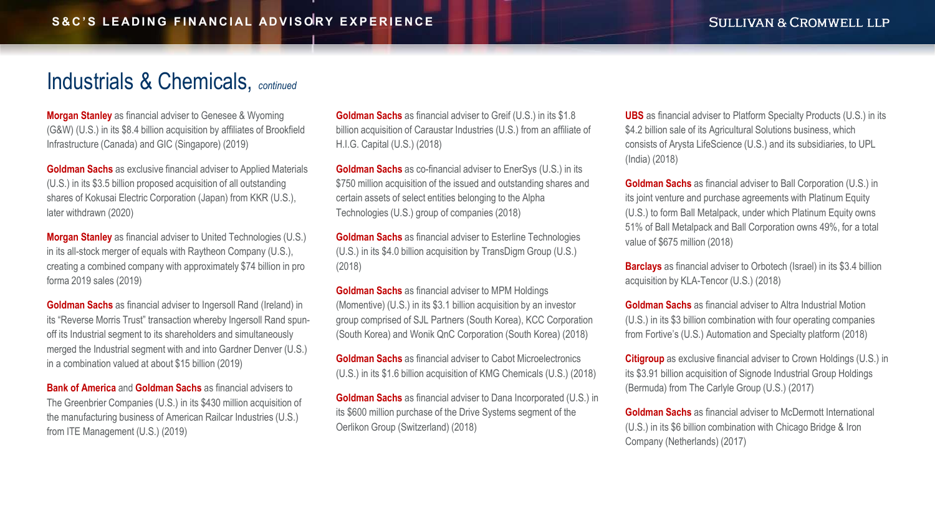#### <span id="page-13-0"></span>[Industrials & Chemicals,](#page-14-0) *continued*

**Morgan Stanley** as financial adviser to Genesee & Wyoming (G&W) (U.S.) in its \$8.4 billion acquisition by affiliates of Brookfield Infrastructure (Canada) and GIC (Singapore) (2019)

**Goldman Sachs** as exclusive financial adviser to Applied Materials (U.S.) in its \$3.5 billion proposed acquisition of all outstanding shares of Kokusai Electric Corporation (Japan) from KKR (U.S.), later withdrawn (2020)

**Morgan Stanley** as financial adviser to United Technologies (U.S.) in its all-stock merger of equals with Raytheon Company (U.S.), creating a combined company with approximately \$74 billion in pro forma 2019 sales (2019)

**Goldman Sachs** as financial adviser to Ingersoll Rand (Ireland) in its "Reverse Morris Trust" transaction whereby Ingersoll Rand spunoff its Industrial segment to its shareholders and simultaneously merged the Industrial segment with and into Gardner Denver (U.S.) in a combination valued at about \$15 billion (2019)

**Bank of America** and **Goldman Sachs** as financial advisers to The Greenbrier Companies (U.S.) in its \$430 million acquisition of the manufacturing business of American Railcar Industries (U.S.) from ITE Management (U.S.) (2019)

**Goldman Sachs** as financial adviser to Greif (U.S.) in its \$1.8 billion acquisition of Caraustar Industries (U.S.) from an affiliate of H.I.G. Capital (U.S.) (2018)

**Goldman Sachs** as co-financial adviser to EnerSys (U.S.) in its \$750 million acquisition of the issued and outstanding shares and certain assets of select entities belonging to the Alpha Technologies (U.S.) group of companies (2018)

**Goldman Sachs** as financial adviser to Esterline Technologies (U.S.) in its \$4.0 billion acquisition by TransDigm Group (U.S.) (2018)

**Goldman Sachs** as financial adviser to MPM Holdings (Momentive) (U.S.) in its \$3.1 billion acquisition by an investor group comprised of SJL Partners (South Korea), KCC Corporation (South Korea) and Wonik QnC Corporation (South Korea) (2018)

**Goldman Sachs** as financial adviser to Cabot Microelectronics (U.S.) in its \$1.6 billion acquisition of KMG Chemicals (U.S.) (2018)

**Goldman Sachs** as financial adviser to Dana Incorporated (U.S.) in its \$600 million purchase of the Drive Systems segment of the Oerlikon Group (Switzerland) (2018)

**UBS** as financial adviser to Platform Specialty Products (U.S.) in its \$4.2 billion sale of its Agricultural Solutions business, which consists of Arysta LifeScience (U.S.) and its subsidiaries, to UPL (India) (2018)

**Goldman Sachs** as financial adviser to Ball Corporation (U.S.) in its joint venture and purchase agreements with Platinum Equity (U.S.) to form Ball Metalpack, under which Platinum Equity owns 51% of Ball Metalpack and Ball Corporation owns 49%, for a total value of \$675 million (2018)

**Barclays** as financial adviser to Orbotech (Israel) in its \$3.4 billion acquisition by KLA-Tencor (U.S.) (2018)

**Goldman Sachs** as financial adviser to Altra Industrial Motion (U.S.) in its \$3 billion combination with four operating companies from Fortive's (U.S.) Automation and Specialty platform (2018)

**Citigroup** as exclusive financial adviser to Crown Holdings (U.S.) in its \$3.91 billion acquisition of Signode Industrial Group Holdings (Bermuda) from The Carlyle Group (U.S.) (2017)

**Goldman Sachs** as financial adviser to McDermott International (U.S.) in its \$6 billion combination with Chicago Bridge & Iron Company (Netherlands) (2017)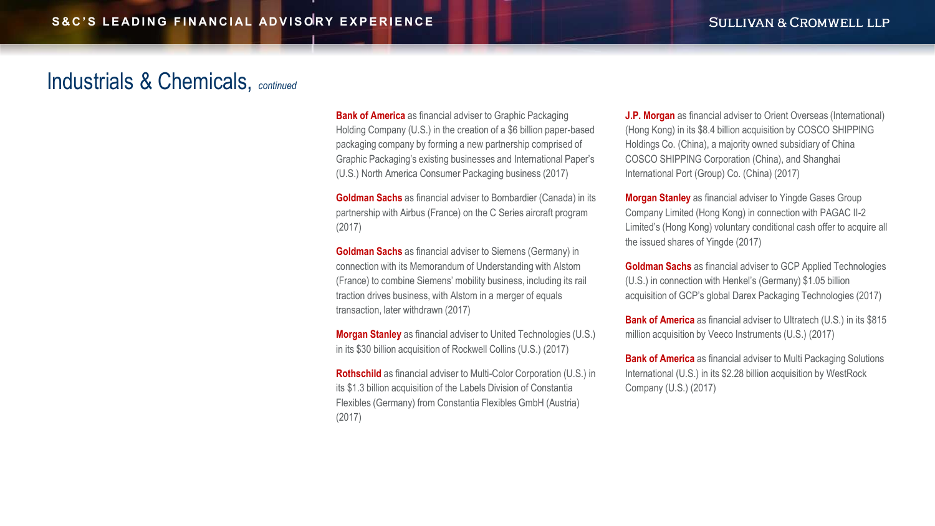#### <span id="page-14-0"></span>[Industrials & Chemicals,](#page-15-0) *continued*

**Bank of America** as financial adviser to Graphic Packaging Holding Company (U.S.) in the creation of a \$6 billion paper-based packaging company by forming a new partnership comprised of Graphic Packaging's existing businesses and International Paper's (U.S.) North America Consumer Packaging business (2017)

**Goldman Sachs** as financial adviser to Bombardier (Canada) in its partnership with Airbus (France) on the C Series aircraft program (2017)

**Goldman Sachs** as financial adviser to Siemens (Germany) in connection with its Memorandum of Understanding with Alstom (France) to combine Siemens' mobility business, including its rail traction drives business, with Alstom in a merger of equals transaction, later withdrawn (2017)

**Morgan Stanley** as financial adviser to United Technologies (U.S.) in its \$30 billion acquisition of Rockwell Collins (U.S.) (2017)

**Rothschild** as financial adviser to Multi-Color Corporation (U.S.) in its \$1.3 billion acquisition of the Labels Division of Constantia Flexibles (Germany) from Constantia Flexibles GmbH (Austria) (2017)

**J.P. Morgan** as financial adviser to Orient Overseas (International) (Hong Kong) in its \$8.4 billion acquisition by COSCO SHIPPING Holdings Co. (China), a majority owned subsidiary of China COSCO SHIPPING Corporation (China), and Shanghai International Port (Group) Co. (China) (2017)

**Morgan Stanley** as financial adviser to Yingde Gases Group Company Limited (Hong Kong) in connection with PAGAC II-2 Limited's (Hong Kong) voluntary conditional cash offer to acquire all the issued shares of Yingde (2017)

**Goldman Sachs** as financial adviser to GCP Applied Technologies (U.S.) in connection with Henkel's (Germany) \$1.05 billion acquisition of GCP's global Darex Packaging Technologies (2017)

**Bank of America** as financial adviser to Ultratech (U.S.) in its \$815 million acquisition by Veeco Instruments (U.S.) (2017)

**Bank of America** as financial adviser to Multi Packaging Solutions International (U.S.) in its \$2.28 billion acquisition by WestRock Company (U.S.) (2017)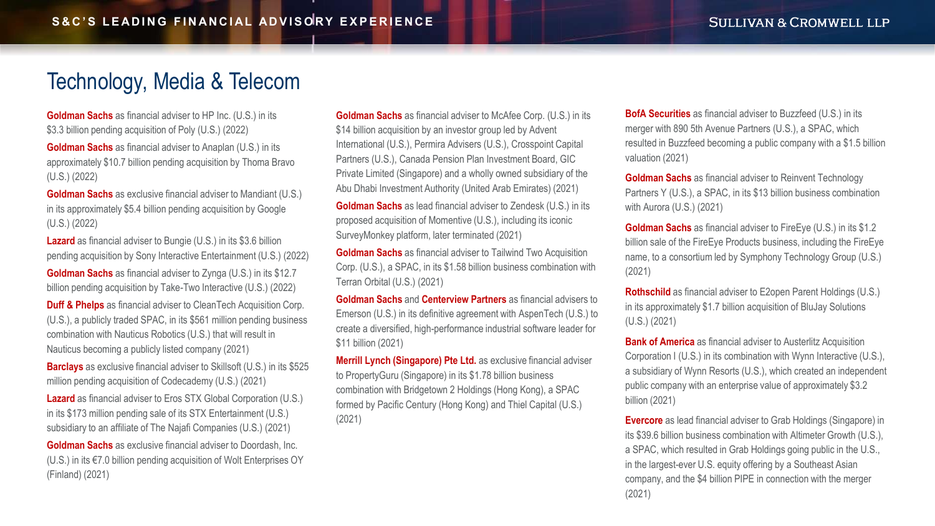# <span id="page-15-0"></span>[Technology, Media & Telecom](#page-16-0)

**Goldman Sachs** as financial adviser to HP Inc. (U.S.) in its \$3.3 billion pending acquisition of Poly (U.S.) (2022)

**Goldman Sachs** as financial adviser to Anaplan (U.S.) in its approximately \$10.7 billion pending acquisition by Thoma Bravo (U.S.) (2022)

**Goldman Sachs** as exclusive financial adviser to Mandiant (U.S.) in its approximately \$5.4 billion pending acquisition by Google (U.S.) (2022)

**Lazard** as financial adviser to Bungie (U.S.) in its \$3.6 billion pending acquisition by Sony Interactive Entertainment (U.S.) (2022)

**Goldman Sachs** as financial adviser to Zynga (U.S.) in its \$12.7 billion pending acquisition by Take-Two Interactive (U.S.) (2022)

**Duff & Phelps** as financial adviser to CleanTech Acquisition Corp. (U.S.), a publicly traded SPAC, in its \$561 million pending business combination with Nauticus Robotics (U.S.) that will result in Nauticus becoming a publicly listed company (2021)

**Barclays** as exclusive financial adviser to Skillsoft (U.S.) in its \$525 million pending acquisition of Codecademy (U.S.) (2021)

**Lazard** as financial adviser to Eros STX Global Corporation (U.S.) in its \$173 million pending sale of its STX Entertainment (U.S.) subsidiary to an affiliate of The Najafi Companies (U.S.) (2021)

**Goldman Sachs** as exclusive financial adviser to Doordash, Inc. (U.S.) in its €7.0 billion pending acquisition of Wolt Enterprises OY (Finland) (2021)

**Goldman Sachs** as financial adviser to McAfee Corp. (U.S.) in its \$14 billion acquisition by an investor group led by Advent International (U.S.), Permira Advisers (U.S.), Crosspoint Capital Partners (U.S.), Canada Pension Plan Investment Board, GIC Private Limited (Singapore) and a wholly owned subsidiary of the Abu Dhabi Investment Authority (United Arab Emirates) (2021)

**Goldman Sachs** as lead financial adviser to Zendesk (U.S.) in its proposed acquisition of Momentive (U.S.), including its iconic SurveyMonkey platform, later terminated (2021)

**Goldman Sachs** as financial adviser to Tailwind Two Acquisition Corp. (U.S.), a SPAC, in its \$1.58 billion business combination with Terran Orbital (U.S.) (2021)

**Goldman Sachs** and **Centerview Partners** as financial advisers to Emerson (U.S.) in its definitive agreement with AspenTech (U.S.) to create a diversified, high-performance industrial software leader for \$11 billion (2021)

**Merrill Lynch (Singapore) Pte Ltd.** as exclusive financial adviser to PropertyGuru (Singapore) in its \$1.78 billion business combination with Bridgetown 2 Holdings (Hong Kong), a SPAC formed by Pacific Century (Hong Kong) and Thiel Capital (U.S.) (2021)

**BofA Securities** as financial adviser to Buzzfeed (U.S.) in its merger with 890 5th Avenue Partners (U.S.), a SPAC, which resulted in Buzzfeed becoming a public company with a \$1.5 billion valuation (2021)

**Goldman Sachs** as financial adviser to Reinvent Technology Partners Y (U.S.), a SPAC, in its \$13 billion business combination with Aurora (U.S.) (2021)

**Goldman Sachs** as financial adviser to FireEye (U.S.) in its \$1.2 billion sale of the FireEye Products business, including the FireEye name, to a consortium led by Symphony Technology Group (U.S.) (2021)

**Rothschild** as financial adviser to E2open Parent Holdings (U.S.) in its approximately \$1.7 billion acquisition of BluJay Solutions (U.S.) (2021)

**Bank of America** as financial adviser to Austerlitz Acquisition Corporation I (U.S.) in its combination with Wynn Interactive (U.S.), a subsidiary of Wynn Resorts (U.S.), which created an independent public company with an enterprise value of approximately \$3.2 billion (2021)

**Evercore** as lead financial adviser to Grab Holdings (Singapore) in its \$39.6 billion business combination with Altimeter Growth (U.S.), a SPAC, which resulted in Grab Holdings going public in the U.S., in the largest-ever U.S. equity offering by a Southeast Asian company, and the \$4 billion PIPE in connection with the merger (2021)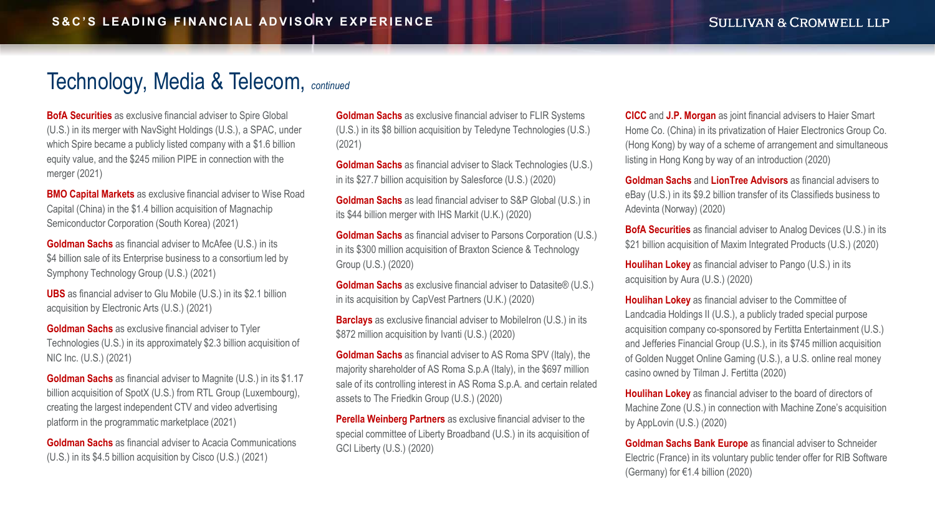<span id="page-16-0"></span>**BofA Securities** as exclusive financial adviser to Spire Global (U.S.) in its merger with NavSight Holdings (U.S.), a SPAC, under which Spire became a publicly listed company with a \$1.6 billion equity value, and the \$245 milion PIPE in connection with the merger (2021)

**BMO Capital Markets** as exclusive financial adviser to Wise Road Capital (China) in the \$1.4 billion acquisition of Magnachip Semiconductor Corporation (South Korea) (2021)

**Goldman Sachs** as financial adviser to McAfee (U.S.) in its \$4 billion sale of its Enterprise business to a consortium led by Symphony Technology Group (U.S.) (2021)

**UBS** as financial adviser to Glu Mobile (U.S.) in its \$2.1 billion acquisition by Electronic Arts (U.S.) (2021)

**Goldman Sachs** as exclusive financial adviser to Tyler Technologies (U.S.) in its approximately \$2.3 billion acquisition of NIC Inc. (U.S.) (2021)

**Goldman Sachs** as financial adviser to Magnite (U.S.) in its \$1.17 billion acquisition of SpotX (U.S.) from RTL Group (Luxembourg), creating the largest independent CTV and video advertising platform in the programmatic marketplace (2021)

**Goldman Sachs** as financial adviser to Acacia Communications (U.S.) in its \$4.5 billion acquisition by Cisco (U.S.) (2021)

**Goldman Sachs** as exclusive financial adviser to FLIR Systems (U.S.) in its \$8 billion acquisition by Teledyne Technologies (U.S.) (2021)

**Goldman Sachs** as financial adviser to Slack Technologies (U.S.) in its \$27.7 billion acquisition by Salesforce (U.S.) (2020)

**Goldman Sachs** as lead financial adviser to S&P Global (U.S.) in its \$44 billion merger with IHS Markit (U.K.) (2020)

**Goldman Sachs** as financial adviser to Parsons Corporation (U.S.) in its \$300 million acquisition of Braxton Science & Technology Group (U.S.) (2020)

**Goldman Sachs** as exclusive financial adviser to Datasite® (U.S.) in its acquisition by CapVest Partners (U.K.) (2020)

**Barclays** as exclusive financial adviser to MobileIron (U.S.) in its \$872 million acquisition by Ivanti (U.S.) (2020)

**Goldman Sachs** as financial adviser to AS Roma SPV (Italy), the majority shareholder of AS Roma S.p.A (Italy), in the \$697 million sale of its controlling interest in AS Roma S.p.A. and certain related assets to The Friedkin Group (U.S.) (2020)

**Perella Weinberg Partners** as exclusive financial adviser to the special committee of Liberty Broadband (U.S.) in its acquisition of GCI Liberty (U.S.) (2020)

**CICC** and **J.P. Morgan** as joint financial advisers to Haier Smart Home Co. (China) in its privatization of Haier Electronics Group Co. (Hong Kong) by way of a scheme of arrangement and simultaneous listing in Hong Kong by way of an introduction (2020)

**Goldman Sachs** and **LionTree Advisors** as financial advisers to eBay (U.S.) in its \$9.2 billion transfer of its Classifieds business to Adevinta (Norway) (2020)

**BofA Securities** as financial adviser to Analog Devices (U.S.) in its \$21 billion acquisition of Maxim Integrated Products (U.S.) (2020)

**Houlihan Lokey** as financial adviser to Pango (U.S.) in its acquisition by Aura (U.S.) (2020)

**Houlihan Lokey** as financial adviser to the Committee of Landcadia Holdings II (U.S.), a publicly traded special purpose acquisition company co-sponsored by Fertitta Entertainment (U.S.) and Jefferies Financial Group (U.S.), in its \$745 million acquisition of Golden Nugget Online Gaming (U.S.), a U.S. online real money casino owned by Tilman J. Fertitta (2020)

**Houlihan Lokey** as financial adviser to the board of directors of Machine Zone (U.S.) in connection with Machine Zone's acquisition by AppLovin (U.S.) (2020)

**Goldman Sachs Bank Europe** as financial adviser to Schneider Electric (France) in its voluntary public tender offer for RIB Software (Germany) for €1.4 billion (2020)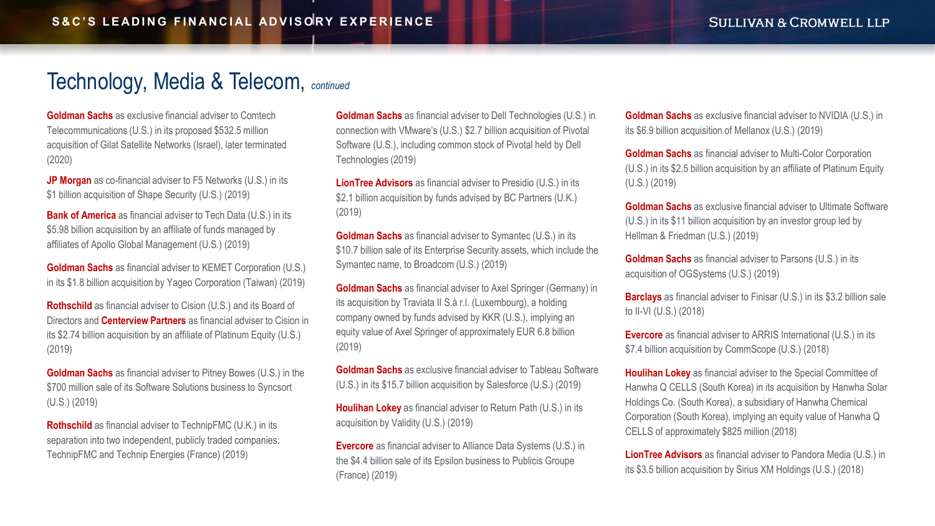<span id="page-17-0"></span>**Goldman Sachs** as exclusive financial adviser to Comtech Telecommunications (U.S.) in its proposed \$532.5 million acquisition of Gilat Satellite Networks (Israel), later terminated (2020)

**JP Morgan** as co-financial adviser to F5 Networks (U.S.) in its \$1 billion acquisition of Shape Security (U.S.) (2019)

**Bank of America** as financial adviser to Tech Data (U.S.) in its \$5.98 billion acquisition by an affiliate of funds managed by affiliates of Apollo Global Management (U.S.) (2019)

**Goldman Sachs** as financial adviser to KEMET Corporation (U.S.) in its \$1.8 billion acquisition by Yageo Corporation (Taiwan) (2019)

**Rothschild** as financial adviser to Cision (U.S.) and its Board of Directors and **Centerview Partners** as financial adviser to Cision in its \$2.74 billion acquisition by an affiliate of Platinum Equity (U.S.) (2019)

**Goldman Sachs** as financial adviser to Pitney Bowes (U.S.) in the \$700 million sale of its Software Solutions business to Syncsort (U.S.) (2019)

**Rothschild** as financial adviser to TechnipFMC (U.K.) in its separation into two independent, publicly traded companies: TechnipFMC and Technip Energies (France) (2019)

**Goldman Sachs** as financial adviser to Dell Technologies (U.S.) in connection with VMware's (U.S.) \$2.7 billion acquisition of Pivotal Software (U.S.), including common stock of Pivotal held by Dell Technologies (2019)

**LionTree Advisors** as financial adviser to Presidio (U.S.) in its \$2.1 billion acquisition by funds advised by BC Partners (U.K.) (2019)

**Goldman Sachs** as financial adviser to Symantec (U.S.) in its \$10.7 billion sale of its Enterprise Security assets, which include the Symantec name, to Broadcom (U.S.) (2019)

**Goldman Sachs** as financial adviser to Axel Springer (Germany) in its acquisition by Traviata II S.à r.l. (Luxembourg), a holding company owned by funds advised by KKR (U.S.), implying an equity value of Axel Springer of approximately EUR 6.8 billion (2019)

**Goldman Sachs** as exclusive financial adviser to Tableau Software (U.S.) in its \$15.7 billion acquisition by Salesforce (U.S.) (2019)

**Houlihan Lokey** as financial adviser to Return Path (U.S.) in its acquisition by Validity (U.S.) (2019)

**Evercore** as financial adviser to Alliance Data Systems (U.S.) in the \$4.4 billion sale of its Epsilon business to Publicis Groupe (France) (2019)

**Goldman Sachs** as exclusive financial adviser to NVIDIA (U.S.) in its \$6.9 billion acquisition of Mellanox (U.S.) (2019)

**Goldman Sachs** as financial adviser to Multi-Color Corporation (U.S.) in its \$2.5 billion acquisition by an affiliate of Platinum Equity (U.S.) (2019)

**Goldman Sachs** as exclusive financial adviser to Ultimate Software (U.S.) in its \$11 billion acquisition by an investor group led by Hellman & Friedman (U.S.) (2019)

**Goldman Sachs** as financial adviser to Parsons (U.S.) in its acquisition of OGSystems (U.S.) (2019)

**Barclays** as financial adviser to Finisar (U.S.) in its \$3.2 billion sale to II-VI (U.S.) (2018)

**Evercore** as financial adviser to ARRIS International (U.S.) in its \$7.4 billion acquisition by CommScope (U.S.) (2018)

**Houlihan Lokey** as financial adviser to the Special Committee of Hanwha Q CELLS (South Korea) in its acquisition by Hanwha Solar Holdings Co. (South Korea), a subsidiary of Hanwha Chemical Corporation (South Korea), implying an equity value of Hanwha Q CELLS of approximately \$825 million (2018)

**LionTree Advisors** as financial adviser to Pandora Media (U.S.) in its \$3.5 billion acquisition by Sirius XM Holdings (U.S.) (2018)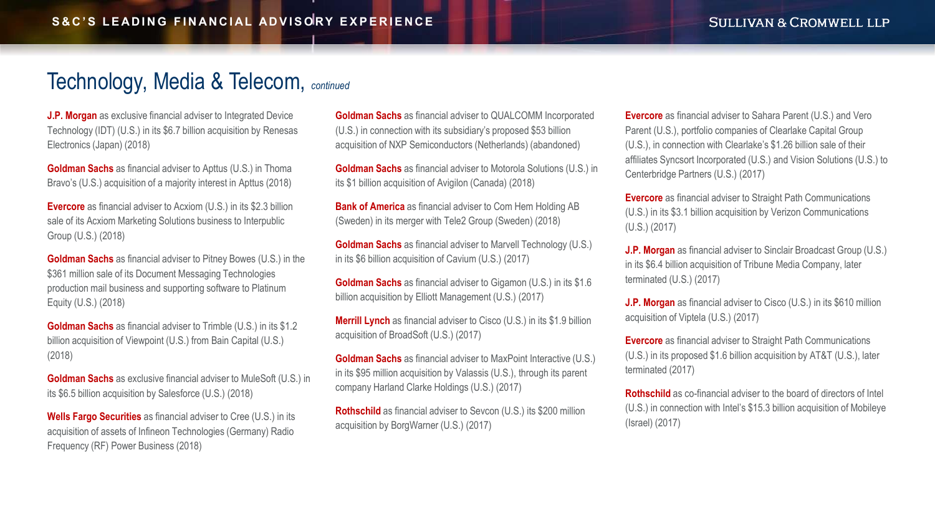<span id="page-18-0"></span>**J.P. Morgan** as exclusive financial adviser to Integrated Device Technology (IDT) (U.S.) in its \$6.7 billion acquisition by Renesas Electronics (Japan) (2018)

**Goldman Sachs** as financial adviser to Apttus (U.S.) in Thoma Bravo's (U.S.) acquisition of a majority interest in Apttus (2018)

**Evercore** as financial adviser to Acxiom (U.S.) in its \$2.3 billion sale of its Acxiom Marketing Solutions business to Interpublic Group (U.S.) (2018)

**Goldman Sachs** as financial adviser to Pitney Bowes (U.S.) in the \$361 million sale of its Document Messaging Technologies production mail business and supporting software to Platinum Equity (U.S.) (2018)

**Goldman Sachs** as financial adviser to Trimble (U.S.) in its \$1.2 billion acquisition of Viewpoint (U.S.) from Bain Capital (U.S.) (2018)

**Goldman Sachs** as exclusive financial adviser to MuleSoft (U.S.) in its \$6.5 billion acquisition by Salesforce (U.S.) (2018)

**Wells Fargo Securities** as financial adviser to Cree (U.S.) in its acquisition of assets of Infineon Technologies (Germany) Radio Frequency (RF) Power Business (2018)

**Goldman Sachs** as financial adviser to QUALCOMM Incorporated (U.S.) in connection with its subsidiary's proposed \$53 billion acquisition of NXP Semiconductors (Netherlands) (abandoned)

**Goldman Sachs** as financial adviser to Motorola Solutions (U.S.) in its \$1 billion acquisition of Avigilon (Canada) (2018)

**Bank of America** as financial adviser to Com Hem Holding AB (Sweden) in its merger with Tele2 Group (Sweden) (2018)

**Goldman Sachs** as financial adviser to Marvell Technology (U.S.) in its \$6 billion acquisition of Cavium (U.S.) (2017)

**Goldman Sachs** as financial adviser to Gigamon (U.S.) in its \$1.6 billion acquisition by Elliott Management (U.S.) (2017)

**Merrill Lynch** as financial adviser to Cisco (U.S.) in its \$1.9 billion acquisition of BroadSoft (U.S.) (2017)

**Goldman Sachs** as financial adviser to MaxPoint Interactive (U.S.) in its \$95 million acquisition by Valassis (U.S.), through its parent company Harland Clarke Holdings (U.S.) (2017)

**Rothschild** as financial adviser to Sevcon (U.S.) its \$200 million acquisition by BorgWarner (U.S.) (2017)

**Evercore** as financial adviser to Sahara Parent (U.S.) and Vero Parent (U.S.), portfolio companies of Clearlake Capital Group (U.S.), in connection with Clearlake's \$1.26 billion sale of their affiliates Syncsort Incorporated (U.S.) and Vision Solutions (U.S.) to Centerbridge Partners (U.S.) (2017)

**Evercore** as financial adviser to Straight Path Communications (U.S.) in its \$3.1 billion acquisition by Verizon Communications (U.S.) (2017)

**J.P. Morgan** as financial adviser to Sinclair Broadcast Group (U.S.) in its \$6.4 billion acquisition of Tribune Media Company, later terminated (U.S.) (2017)

**J.P. Morgan** as financial adviser to Cisco (U.S.) in its \$610 million acquisition of Viptela (U.S.) (2017)

**Evercore** as financial adviser to Straight Path Communications (U.S.) in its proposed \$1.6 billion acquisition by AT&T (U.S.), later terminated (2017)

**Rothschild** as co-financial adviser to the board of directors of Intel (U.S.) in connection with Intel's \$15.3 billion acquisition of Mobileye (Israel) (2017)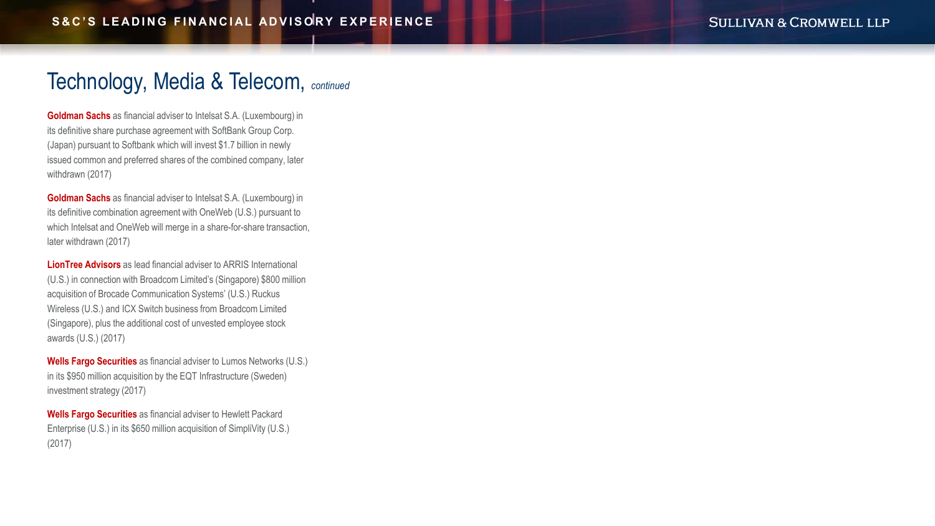<span id="page-19-0"></span>**Goldman Sachs** as financial adviser to Intelsat S.A. (Luxembourg) in its definitive share purchase agreement with SoftBank Group Corp. (Japan) pursuant to Softbank which will invest \$1.7 billion in newly issued common and preferred shares of the combined company, later withdrawn (2017)

**Goldman Sachs** as financial adviser to Intelsat S.A. (Luxembourg) in its definitive combination agreement with OneWeb (U.S.) pursuant to which Intelsat and OneWeb will merge in a share-for-share transaction, later withdrawn (2017)

**LionTree Advisors** as lead financial adviser to ARRIS International (U.S.) in connection with Broadcom Limited's (Singapore) \$800 million acquisition of Brocade Communication Systems' (U.S.) Ruckus Wireless (U.S.) and ICX Switch business from Broadcom Limited (Singapore), plus the additional cost of unvested employee stock awards (U.S.) (2017)

**Wells Fargo Securities** as financial adviser to Lumos Networks (U.S.) in its \$950 million acquisition by the EQT Infrastructure (Sweden) investment strategy (2017)

**Wells Fargo Securities** as financial adviser to Hewlett Packard Enterprise (U.S.) in its \$650 million acquisition of SimpliVity (U.S.) (2017)